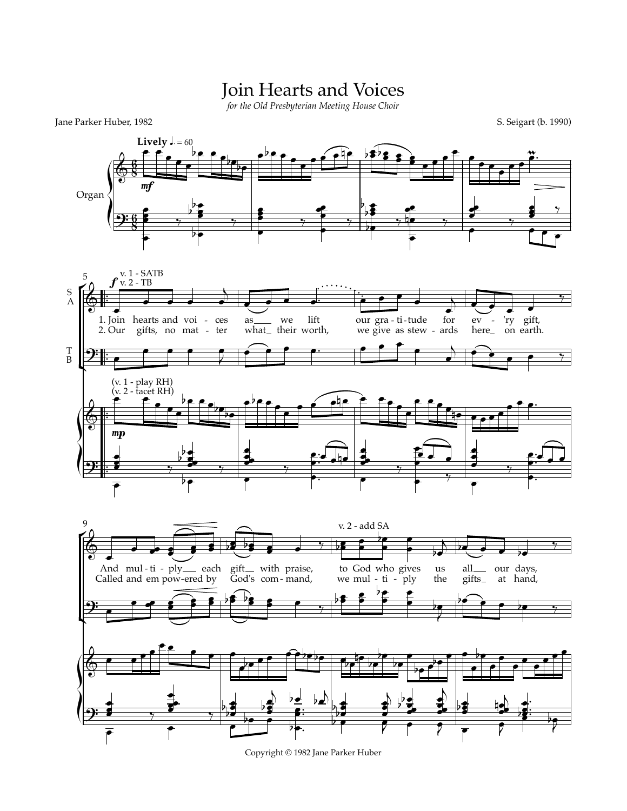## Join Hearts and Voices

*for the Old Presbyterian Meeting House Choir*

Jane Parker Huber, 1982 S. Seigart (b. 1990)



Copyright © 1982 Jane Parker Huber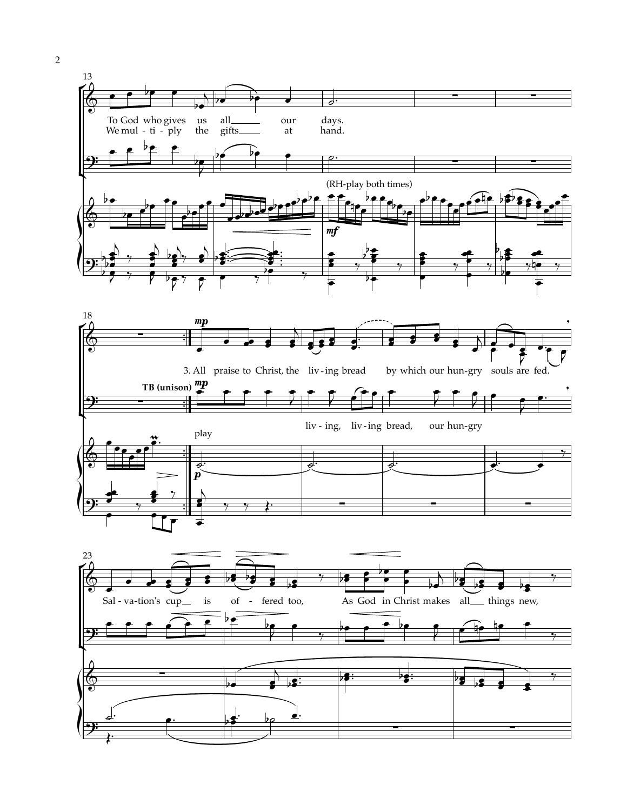

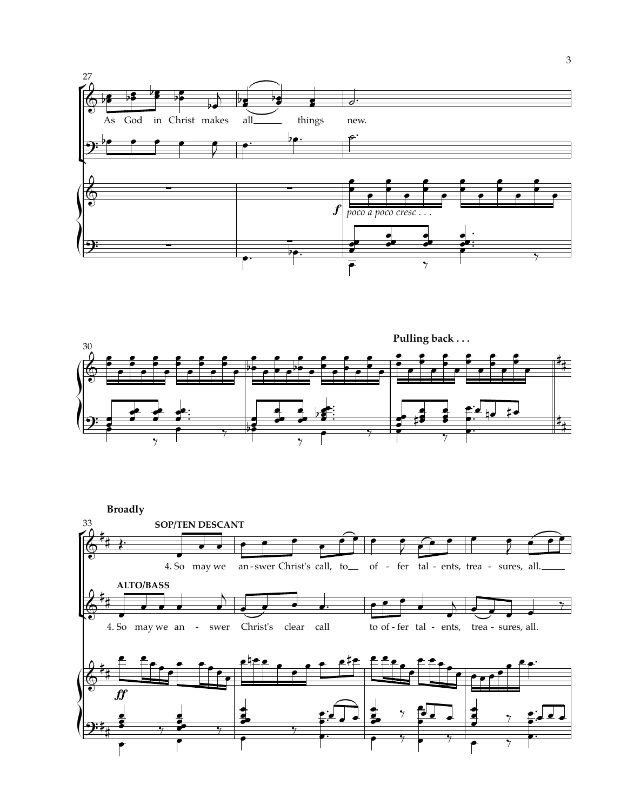